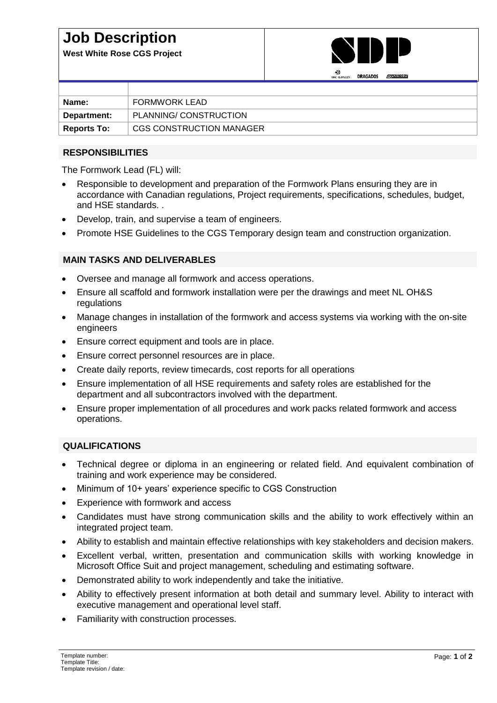## **Job Description**

**West White Rose CGS Project**



|                    | <b>CONTRACTOR</b>        |
|--------------------|--------------------------|
|                    |                          |
| Name:              | FORMWORK LEAD            |
| Department:        | PLANNING/ CONSTRUCTION   |
| <b>Reports To:</b> | CGS CONSTRUCTION MANAGER |

#### **RESPONSIBILITIES**

The Formwork Lead (FL) will:

- Responsible to development and preparation of the Formwork Plans ensuring they are in accordance with Canadian regulations, Project requirements, specifications, schedules, budget, and HSE standards. .
- Develop, train, and supervise a team of engineers.
- Promote HSE Guidelines to the CGS Temporary design team and construction organization.

### **MAIN TASKS AND DELIVERABLES**

- Oversee and manage all formwork and access operations.
- Ensure all scaffold and formwork installation were per the drawings and meet NL OH&S regulations
- Manage changes in installation of the formwork and access systems via working with the on-site engineers
- Ensure correct equipment and tools are in place.
- Ensure correct personnel resources are in place.
- Create daily reports, review timecards, cost reports for all operations
- Ensure implementation of all HSE requirements and safety roles are established for the department and all subcontractors involved with the department.
- Ensure proper implementation of all procedures and work packs related formwork and access operations.

#### **QUALIFICATIONS**

- Technical degree or diploma in an engineering or related field. And equivalent combination of training and work experience may be considered.
- Minimum of 10+ years' experience specific to CGS Construction
- Experience with formwork and access
- Candidates must have strong communication skills and the ability to work effectively within an integrated project team.
- Ability to establish and maintain effective relationships with key stakeholders and decision makers.
- Excellent verbal, written, presentation and communication skills with working knowledge in Microsoft Office Suit and project management, scheduling and estimating software.
- Demonstrated ability to work independently and take the initiative.
- Ability to effectively present information at both detail and summary level. Ability to interact with executive management and operational level staff.
- Familiarity with construction processes.